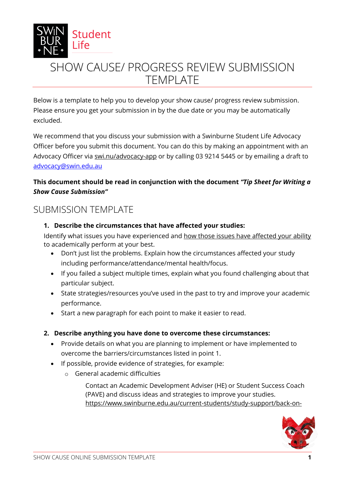

# SHOW CAUSE/ PROGRESS REVIEW SUBMISSION TEMPLATE

Below is a template to help you to develop your show cause/ progress review submission. Please ensure you get your submission in by the due date or you may be automatically excluded.

We recommend that you discuss your submission with a Swinburne Student Life Advocacy Officer before you submit this document. You can do this by making an appointment with an Advocacy Officer via [swi.nu/advocacy-app](https://outlook.office365.com/owa/calendar/Bookings_Advocacy@swin.edu.au/bookings/) or by calling 03 9214 5445 or by emailing a draft to [advocacy@swin.edu.au](mailto:advocacy@swin.edu.au) 

# **This document should be read in conjunction with the document** *"Tip Sheet for Writing a Show Cause Submission"*

# SUBMISSION TEMPLATE

#### **1. Describe the circumstances that have affected your studies:**

Identify what issues you have experienced and how those issues have affected your ability to academically perform at your best.

- Don't just list the problems. Explain how the circumstances affected your study including performance/attendance/mental health/focus.
- If you failed a subject multiple times, explain what you found challenging about that particular subject.
- State strategies/resources you've used in the past to try and improve your academic performance.
- Start a new paragraph for each point to make it easier to read.

## **2. Describe anything you have done to overcome these circumstances:**

- Provide details on what you are planning to implement or have implemented to overcome the barriers/circumstances listed in point 1.
- If possible, provide evidence of strategies, for example:
	- o General academic difficulties

Contact an Academic Development Adviser (HE) or Student Success Coach (PAVE) and discuss ideas and strategies to improve your studies. [https://www.swinburne.edu.au/current-students/study-support/back-on-](https://www.swinburne.edu.au/current-students/study-support/back-on-track/academic-adviser/)

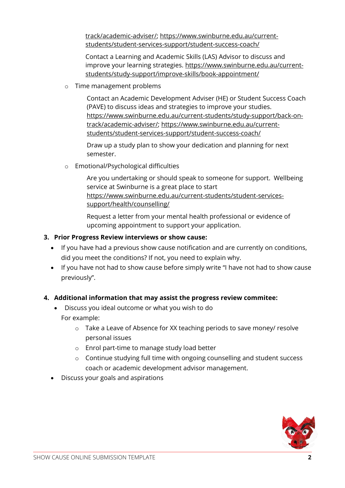[track/academic-adviser/;](https://www.swinburne.edu.au/current-students/study-support/back-on-track/academic-adviser/) https://www.swinburne.edu.au/currentstudents/student-services-support/student-success-coach/

Contact a Learning and Academic Skills (LAS) Advisor to discuss and improve your learning strategies. https://www.swinburne.edu.au/currentstudents/study-support/improve-skills/book-appointment/

o Time management problems

Contact an Academic Development Adviser (HE) or Student Success Coach (PAVE) to discuss ideas and strategies to improve your studies. [https://www.swinburne.edu.au/current-students/study-support/back-on](https://www.swinburne.edu.au/current-students/study-support/back-on-track/academic-adviser/)[track/academic-adviser/;](https://www.swinburne.edu.au/current-students/study-support/back-on-track/academic-adviser/) https://www.swinburne.edu.au/currentstudents/student-services-support/student-success-coach/

Draw up a study plan to show your dedication and planning for next semester.

o Emotional/Psychological difficulties

Are you undertaking or should speak to someone for support. Wellbeing service at Swinburne is a great place to start https://www.swinburne.edu.au/current-students/student-servicessupport/health/counselling/

Request a letter from your mental health professional or evidence of upcoming appointment to support your application.

#### **3. Prior Progress Review interviews or show cause:**

- If you have had a previous show cause notification and are currently on conditions, did you meet the conditions? If not, you need to explain why.
- If you have not had to show cause before simply write "I have not had to show cause previously".

#### **4. Additional information that may assist the progress review commitee:**

- Discuss you ideal outcome or what you wish to do For example:
	- $\circ$  Take a Leave of Absence for XX teaching periods to save money/ resolve personal issues
	- o Enrol part-time to manage study load better
	- o Continue studying full time with ongoing counselling and student success coach or academic development advisor management.
- Discuss your goals and aspirations